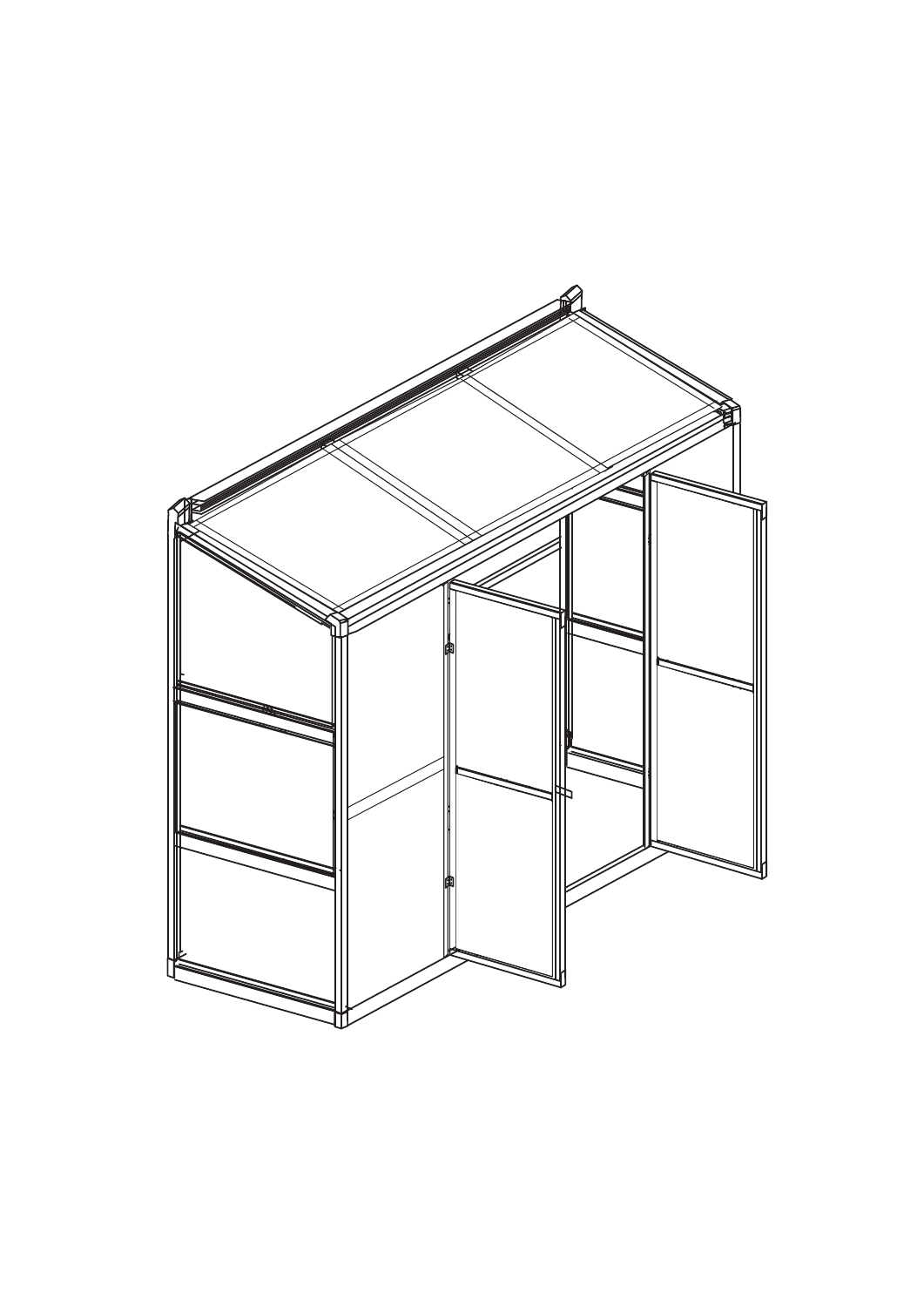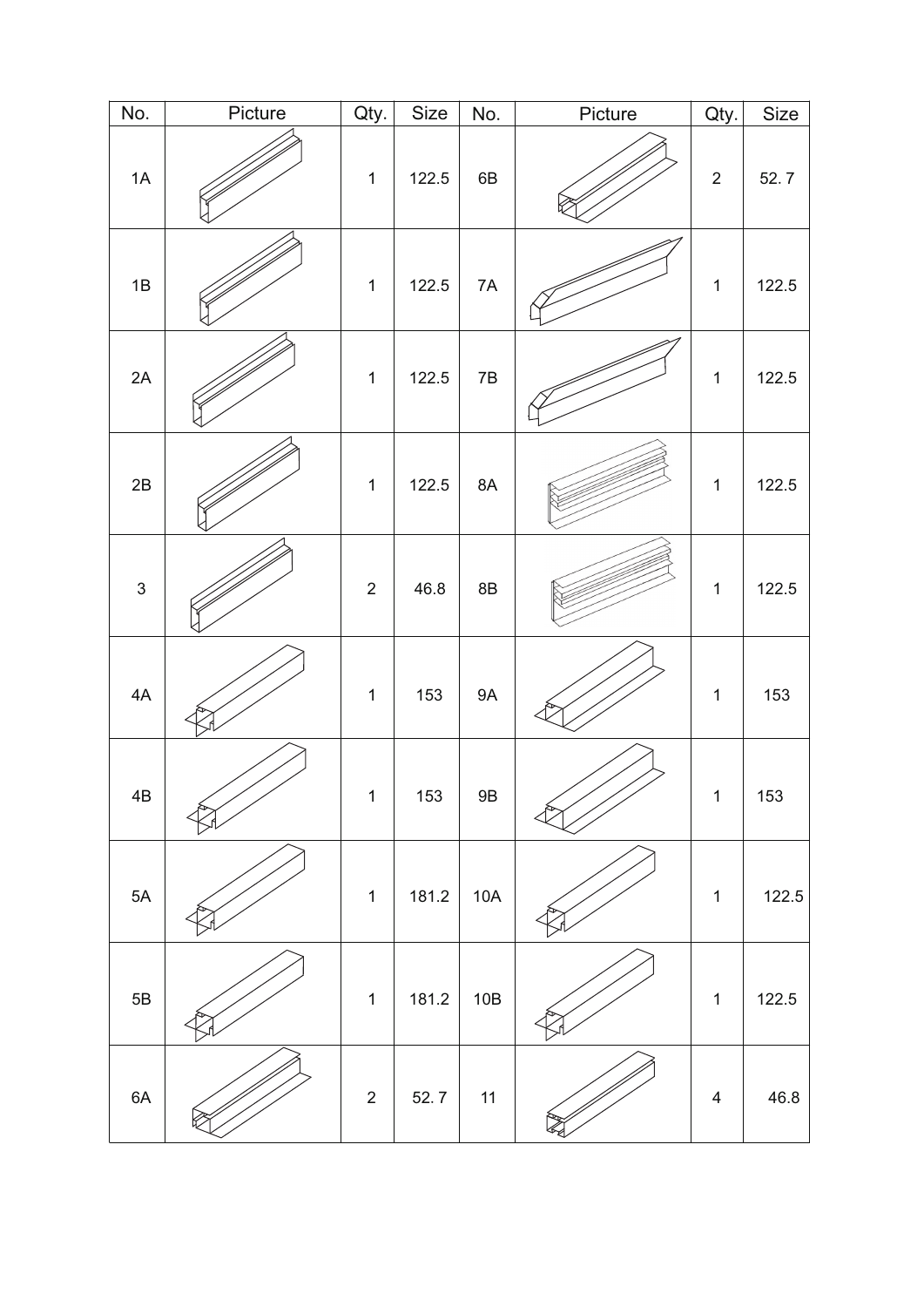| No.                       | Picture | Qty.           | Size  | No.           | Picture | Qty.                    | Size  |
|---------------------------|---------|----------------|-------|---------------|---------|-------------------------|-------|
| $1A$                      |         | $\mathbf 1$    | 122.5 | $6\mathsf{B}$ |         | $\boldsymbol{2}$        | 52.7  |
| $1B$                      |         | $\mathbf 1$    | 122.5 | $7A$          |         | $\mathbf 1$             | 122.5 |
| $2A$                      |         | $\mathbf 1$    | 122.5 | $7\mathsf{B}$ |         | $\mathbf{1}$            | 122.5 |
| $2\mathsf{B}$             |         | $\mathbf{1}$   | 122.5 | 8A            |         | $\mathbf{1}$            | 122.5 |
| $\ensuremath{\mathsf{3}}$ |         | $\overline{2}$ | 46.8  | $8\mathsf{B}$ |         | $\mathbf{1}$            | 122.5 |
| $4\mathsf{A}$             |         | $\mathbf 1$    | 153   | $9A$          |         | $\mathbf{1}$            | 153   |
| $4\mathsf{B}$             |         | $\mathbf 1$    | 153   | 9B            |         | 1                       | 153   |
| $5A$                      |         | $\mathbf{1}$   | 181.2 | 10A           |         | $\mathbf{1}$            | 122.5 |
| $5\mathsf{B}$             |         | $\mathbf{1}$   | 181.2 | 10B           |         | $\mathbf{1}$            | 122.5 |
| $6A$                      |         | $\overline{2}$ | 52.7  | 11            |         | $\overline{\mathbf{4}}$ | 46.8  |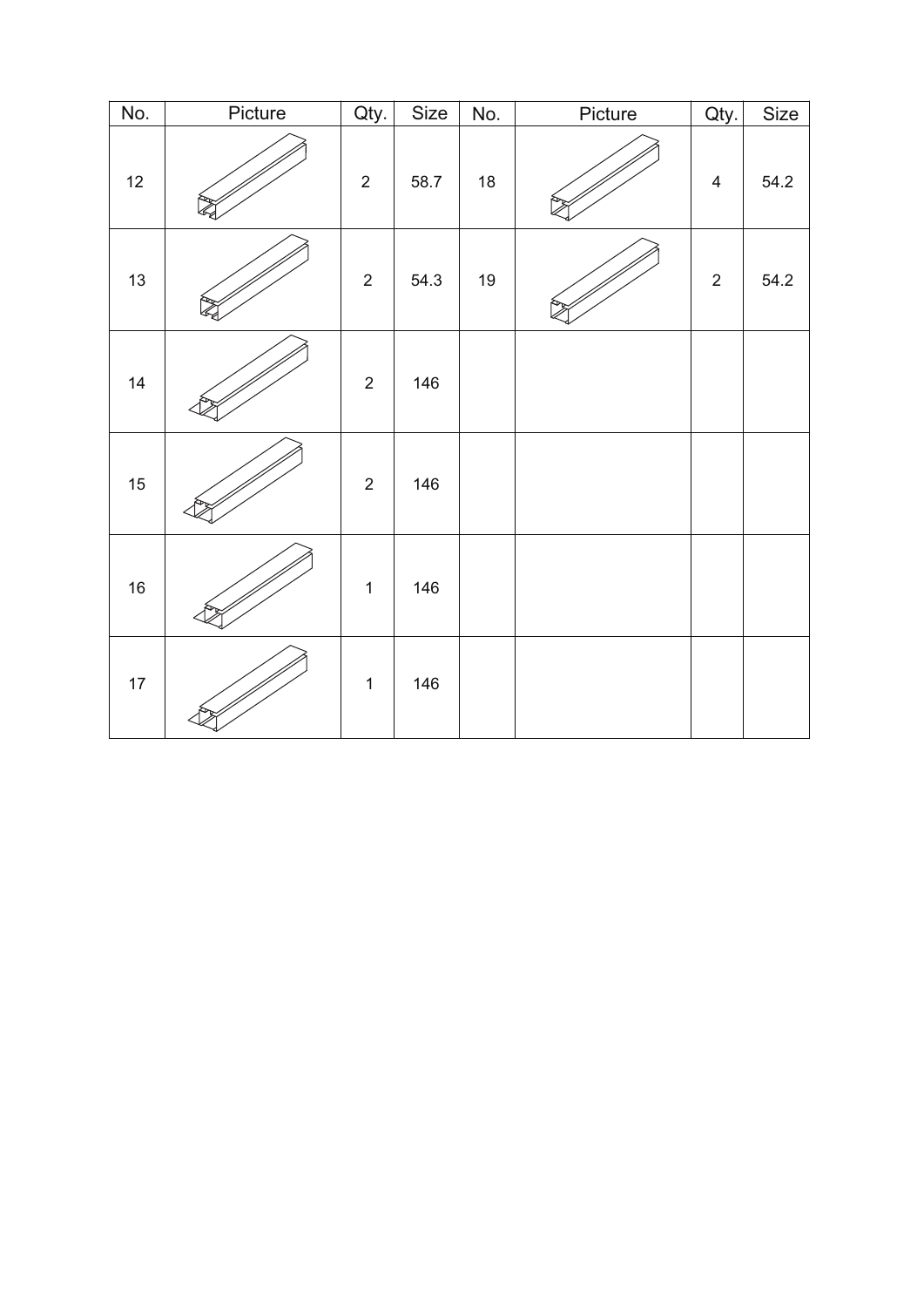| $\overline{No.}$ | Picture | Qty.           | <b>Size</b> | No.    | Picture | Qty.           | Size |
|------------------|---------|----------------|-------------|--------|---------|----------------|------|
| 12               |         | $\overline{2}$ | 58.7        | $18\,$ |         | $\overline{4}$ | 54.2 |
| 13               |         | $\overline{c}$ | 54.3        | $19$   |         | $\mathbf 2$    | 54.2 |
| 14               |         | $\sqrt{2}$     | 146         |        |         |                |      |
| $15\,$           |         | $\overline{2}$ | 146         |        |         |                |      |
| 16               |         | $\mathbf{1}$   | 146         |        |         |                |      |
| 17               |         | $\mathbf{1}$   | 146         |        |         |                |      |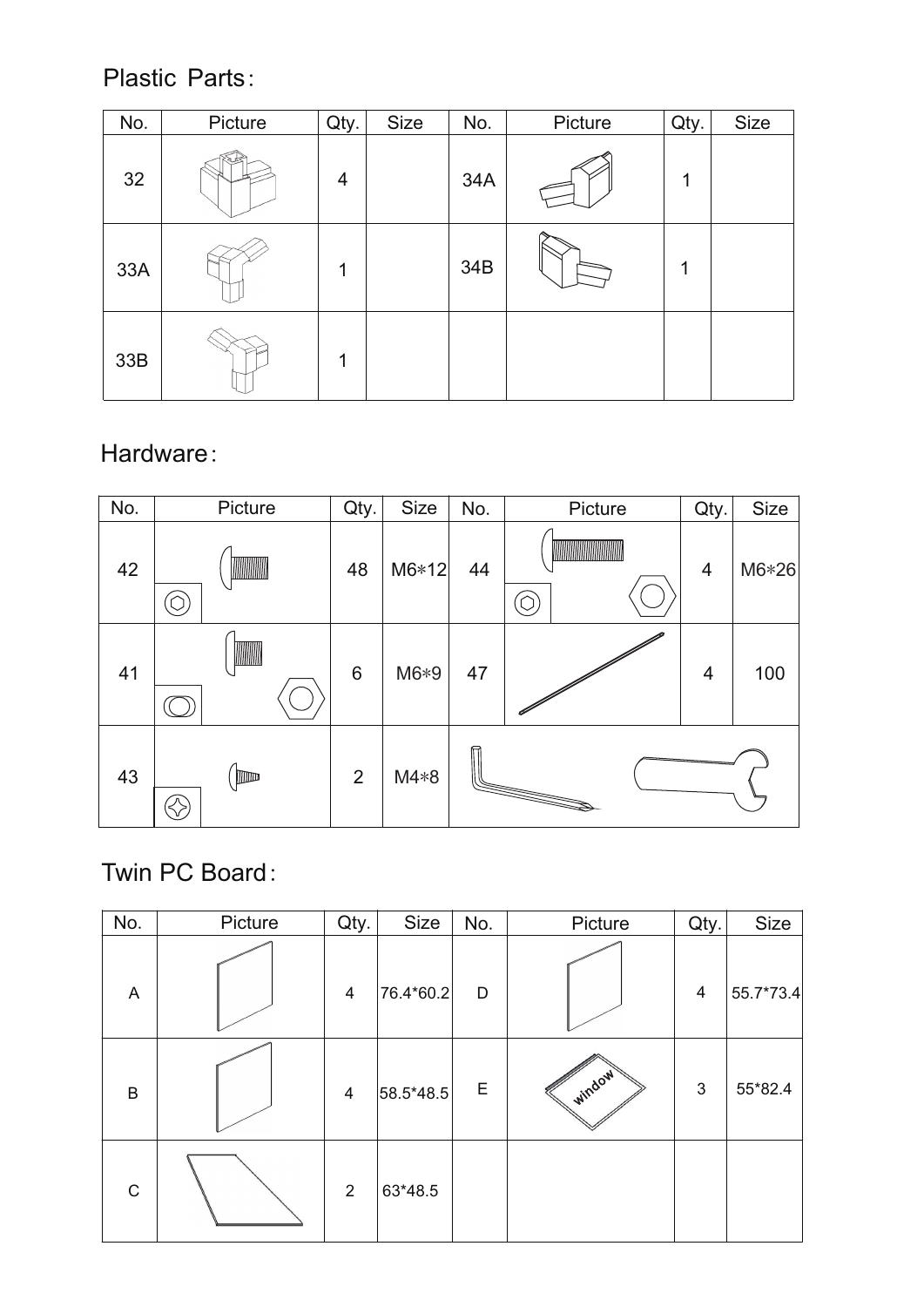## Plastic Parts:

| No. | Picture | Qty. | Size | No. | Picture | Qty. | Size |
|-----|---------|------|------|-----|---------|------|------|
| 32  |         | 4    |      | 34A |         | 1    |      |
| 33A |         | 1    |      | 34B |         | 1    |      |
| 33B |         | 1    |      |     |         |      |      |

## Hardware:

| No. | Picture                           | Qty.            | <b>Size</b> | No. | Picture       | Qty. | Size  |
|-----|-----------------------------------|-----------------|-------------|-----|---------------|------|-------|
| 42  | <b>THE REAL</b><br>Ő              | 48              | M6*12       | 44  |               | 4    | M6*26 |
| 41  | <b>TIMERIAL</b>                   | $6\phantom{1}6$ | M6*9        | 47  |               | 4    | 100   |
| 43  | $\mathbb{R}$<br>$\leftrightarrow$ | $\overline{2}$  | M4*8        |     | a Martin Card |      |       |

## Twin PC Board:

| No.                     | Picture | Qty.           | Size          | No. | Picture  | Qty.           | Size      |
|-------------------------|---------|----------------|---------------|-----|----------|----------------|-----------|
| $\overline{\mathsf{A}}$ |         | $\overline{4}$ | 76.4*60.2     | D   |          | $\overline{4}$ | 55.7*73.4 |
| $\sf B$                 |         | $\overline{4}$ | $ 58.5*48.5 $ | Е   | window \ | 3              | 55*82.4   |
| $\mathsf{C}$            |         | 2              | 63*48.5       |     |          |                |           |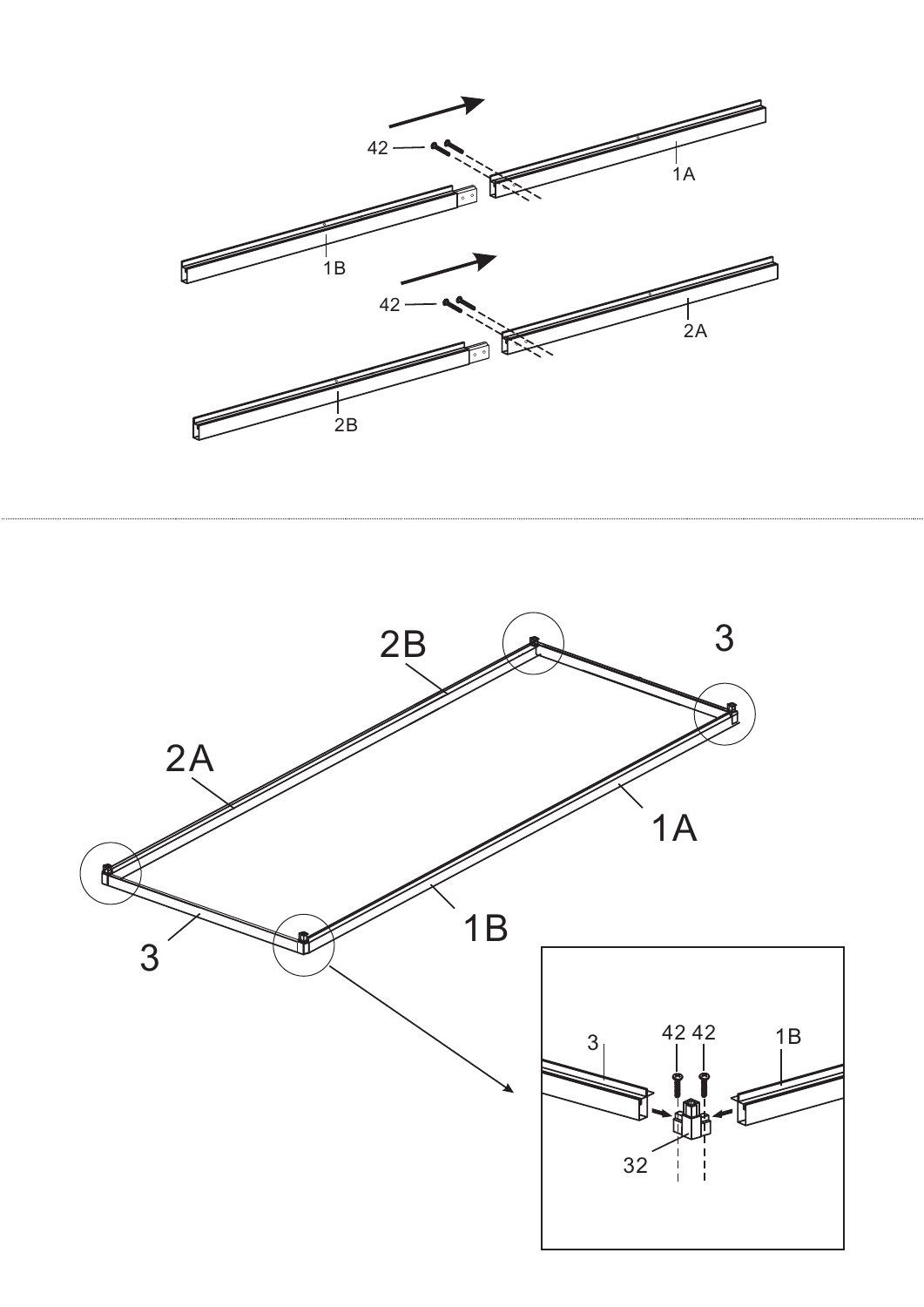

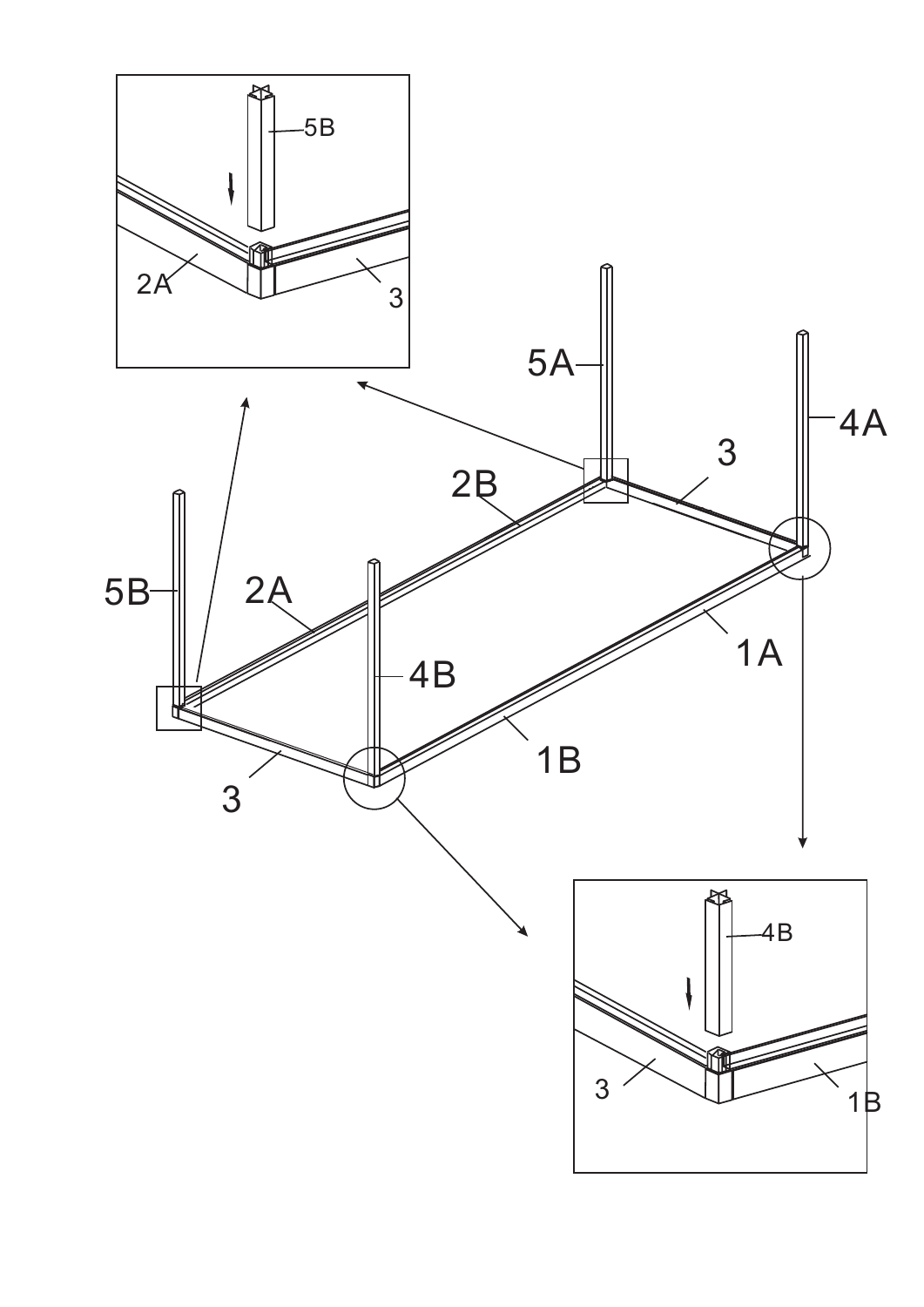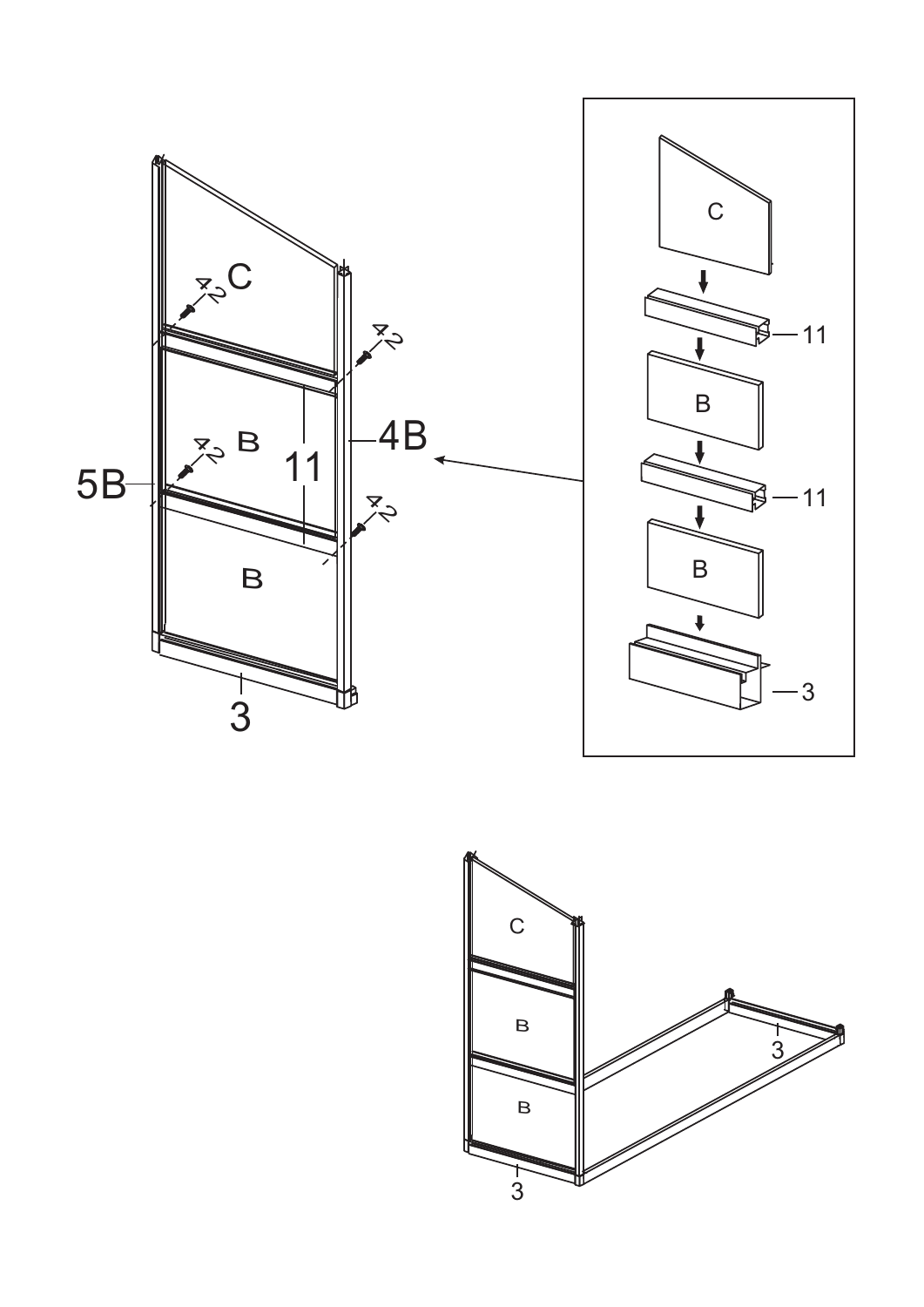

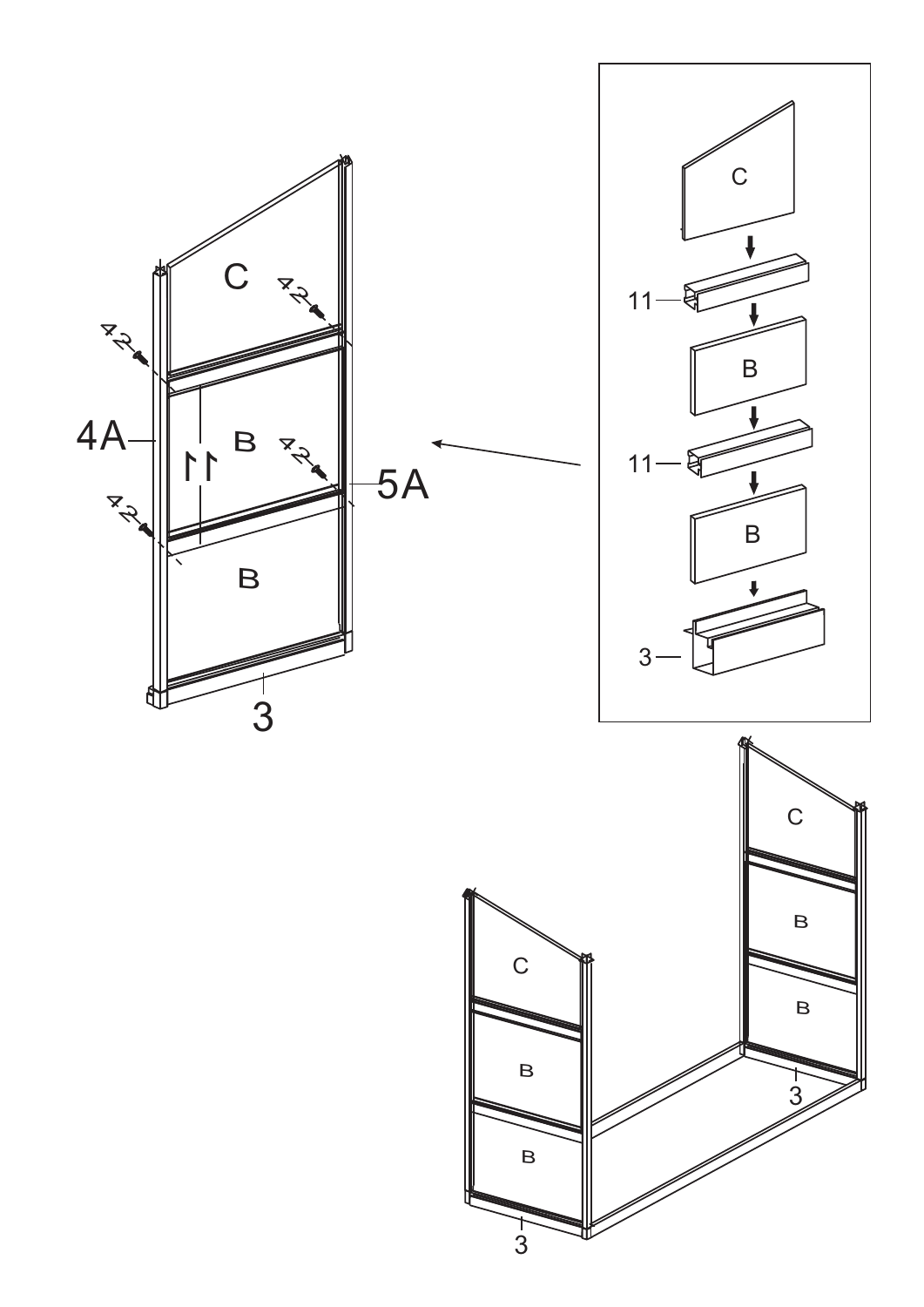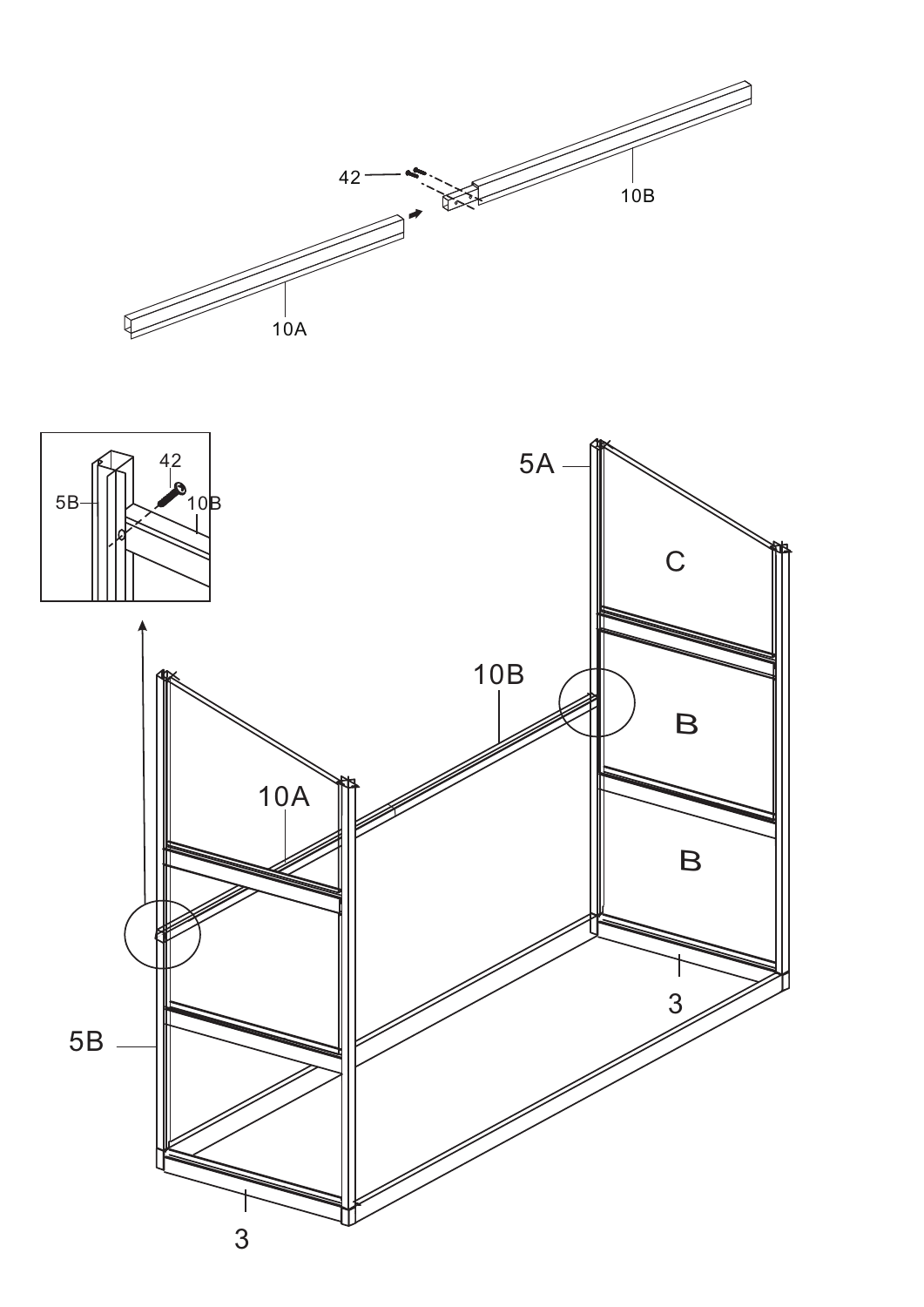

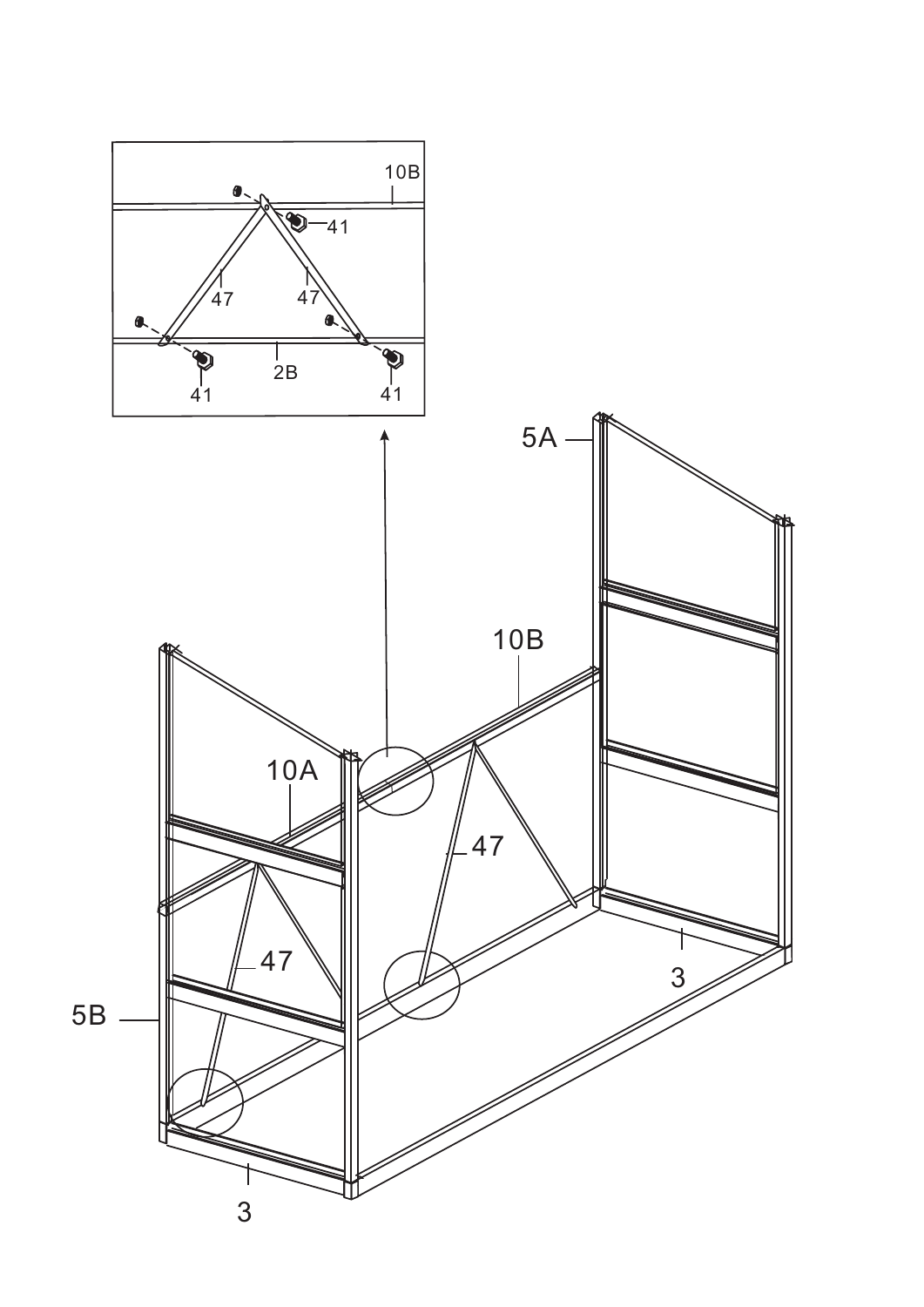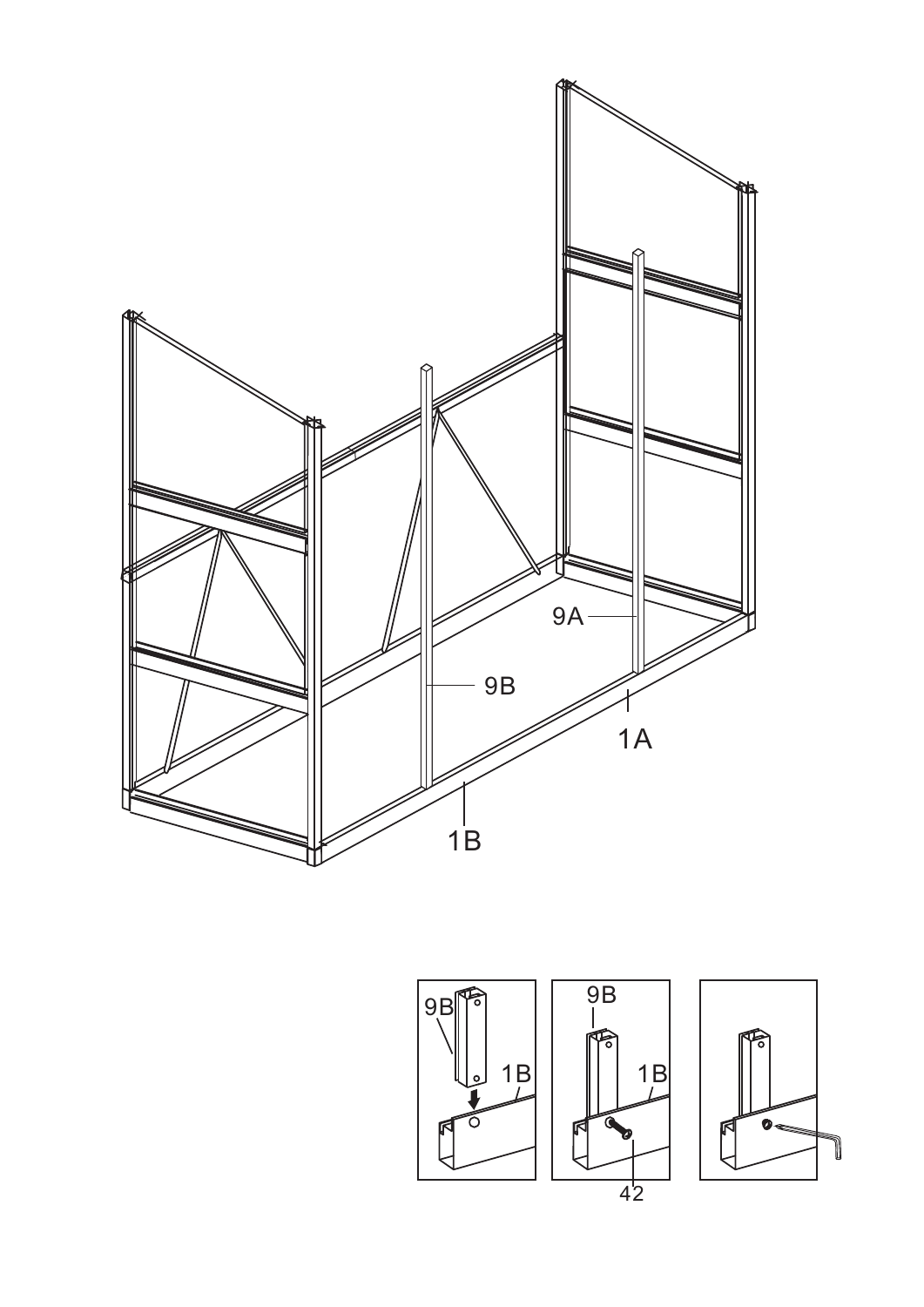



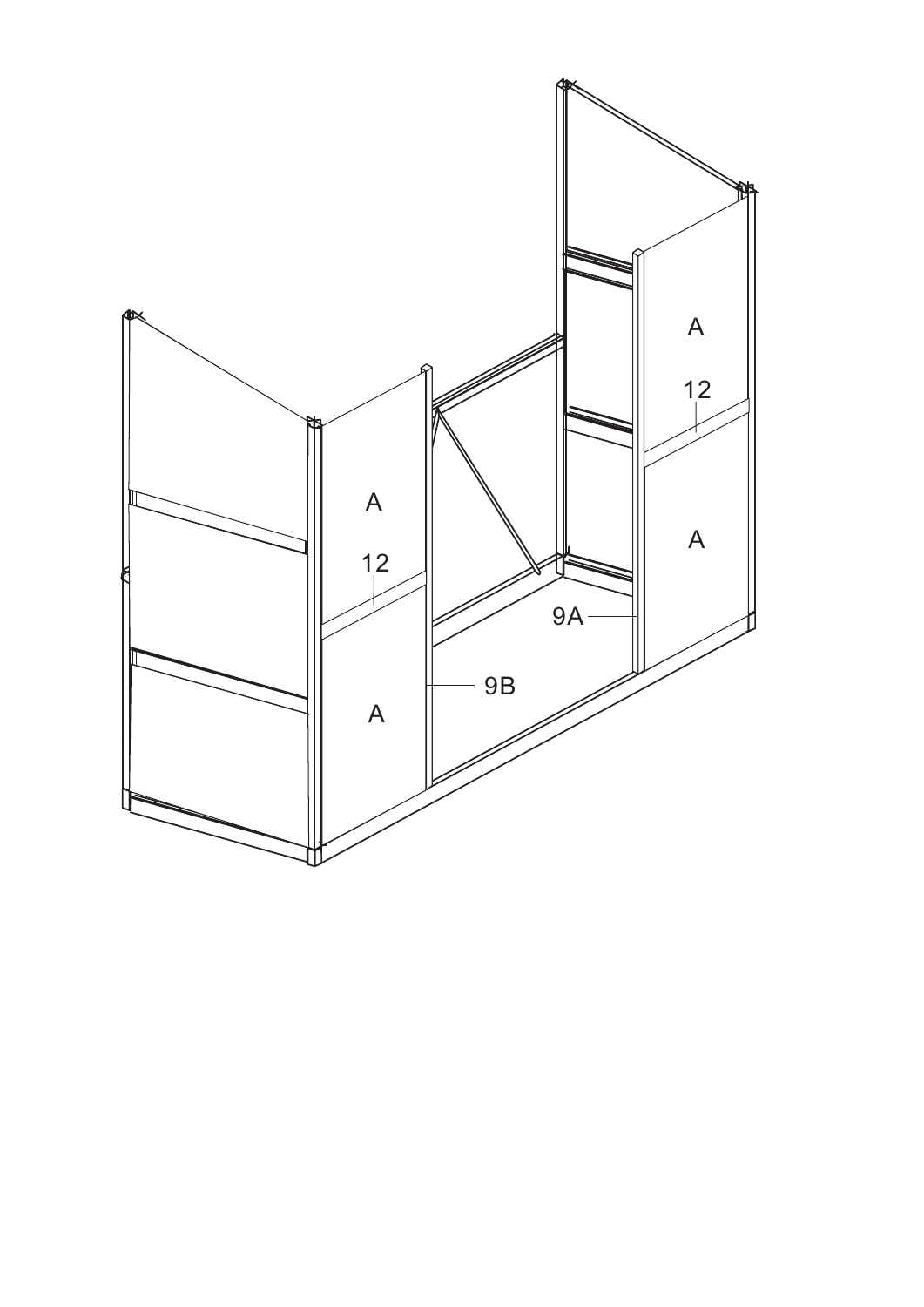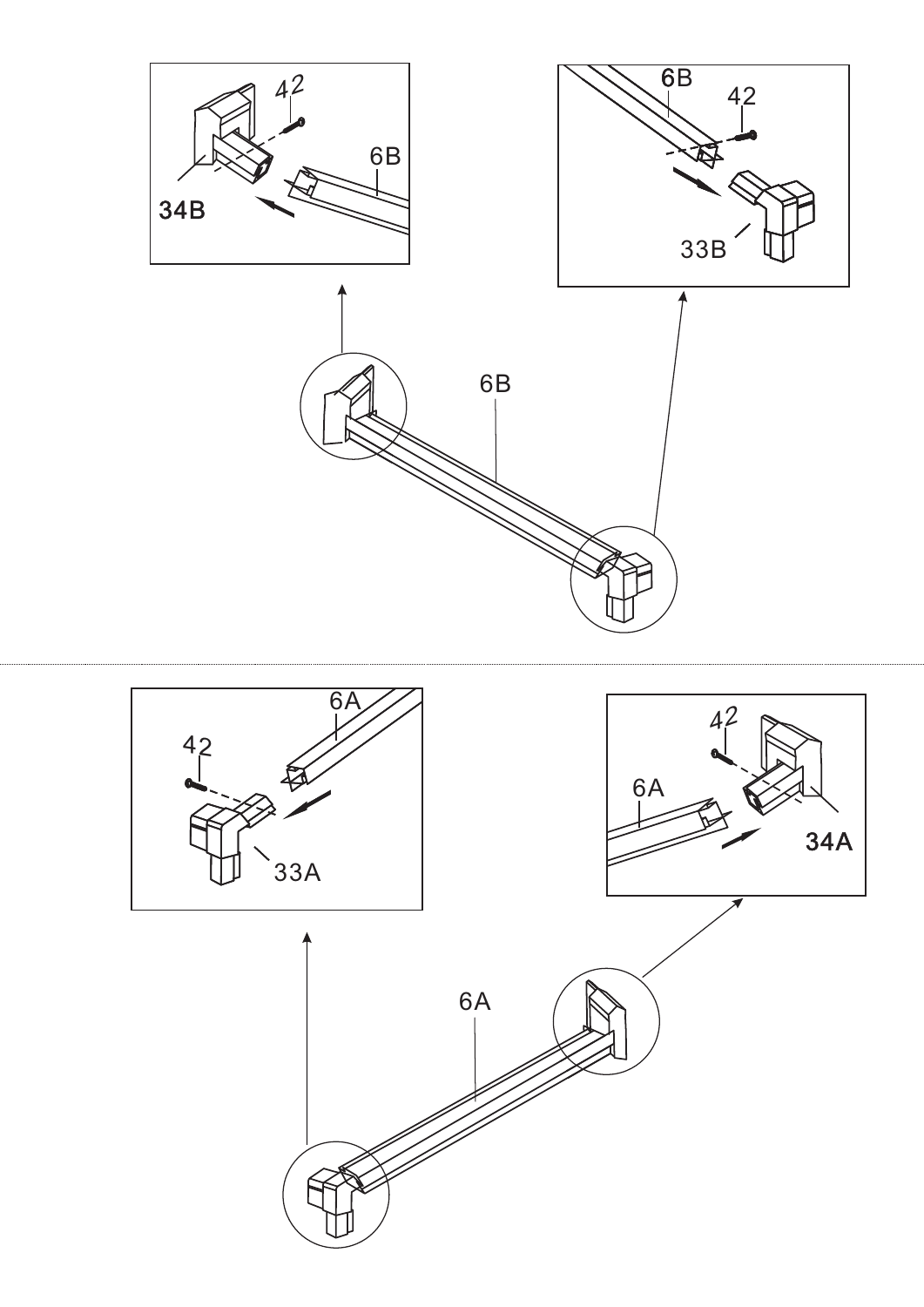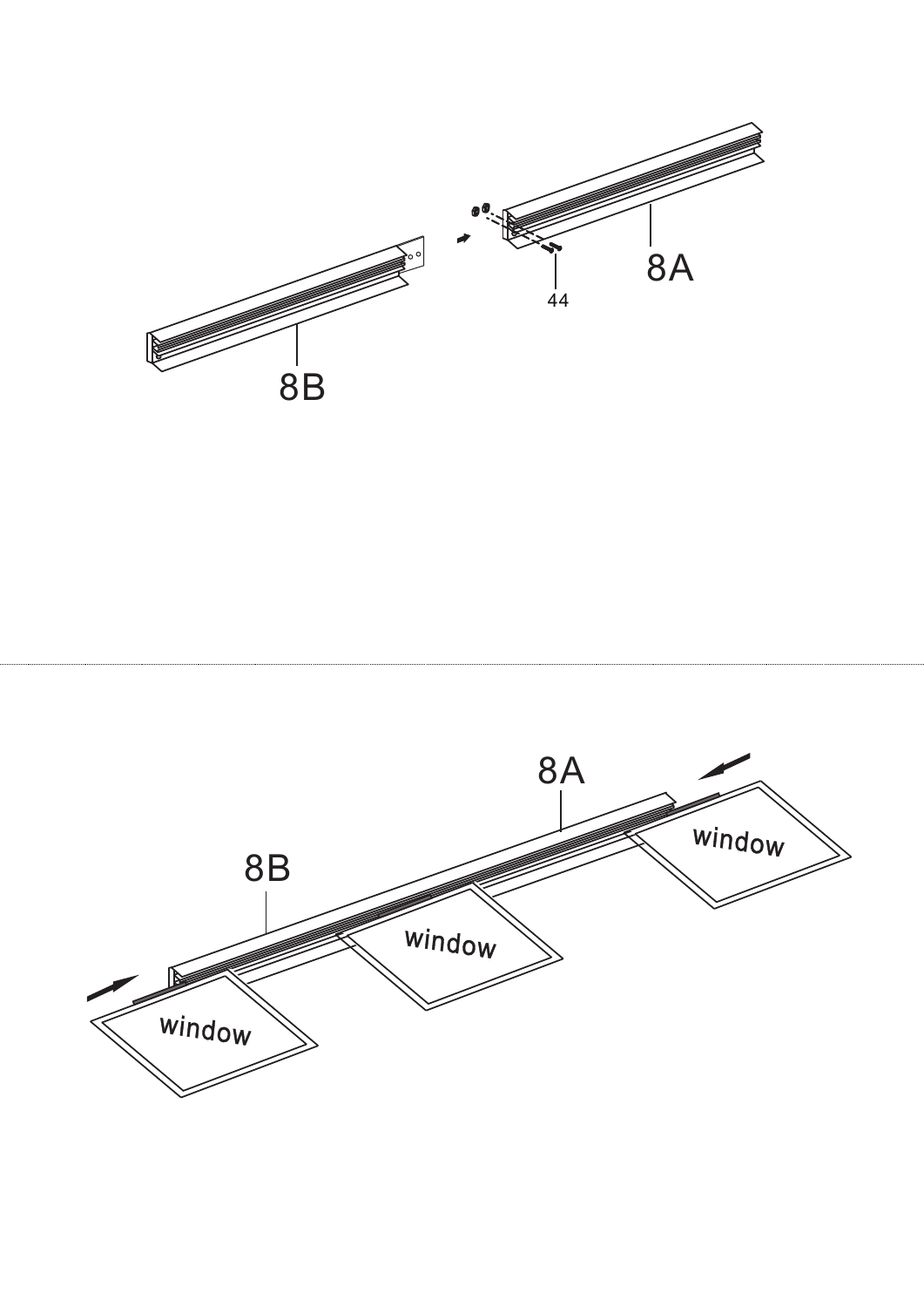

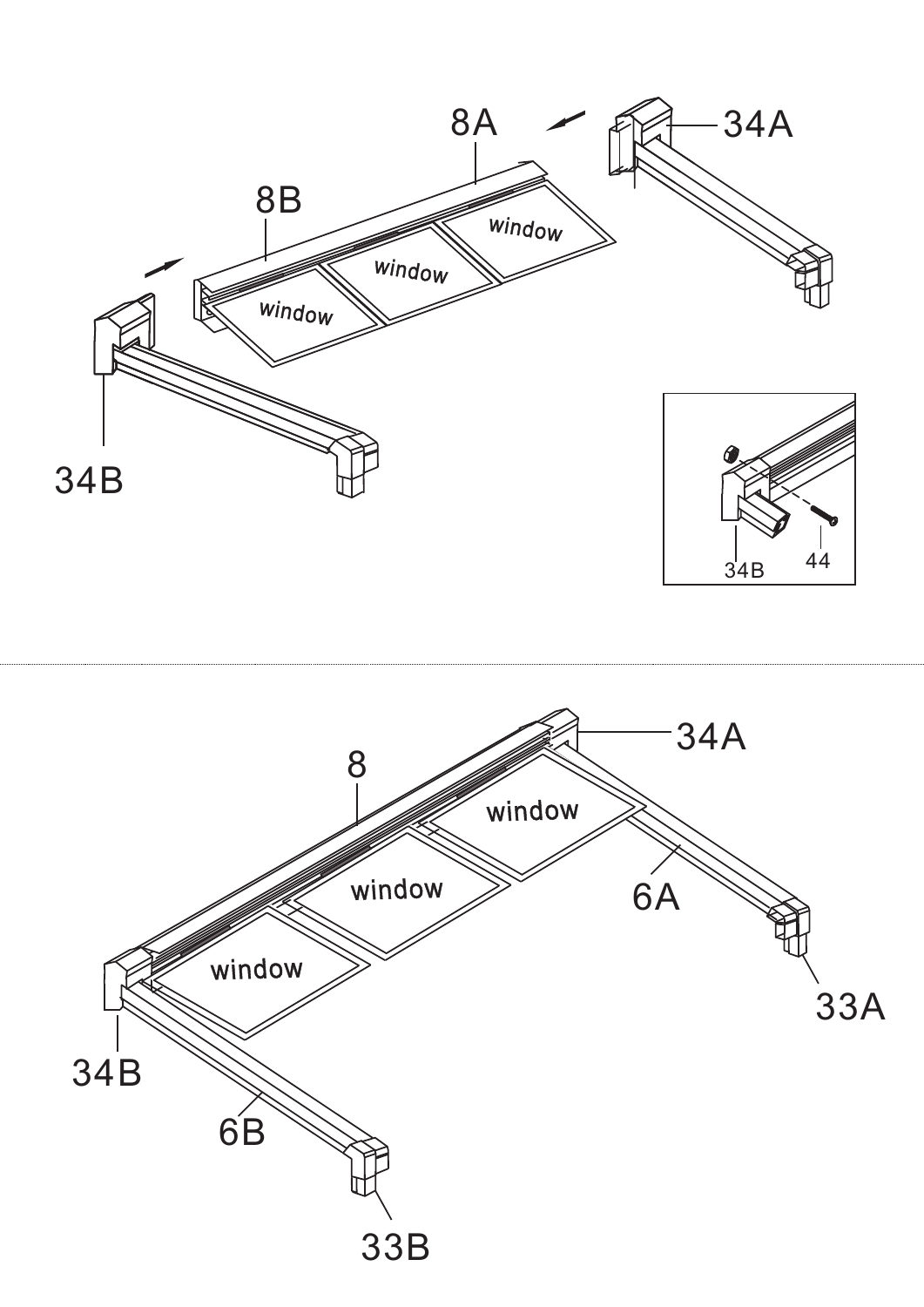

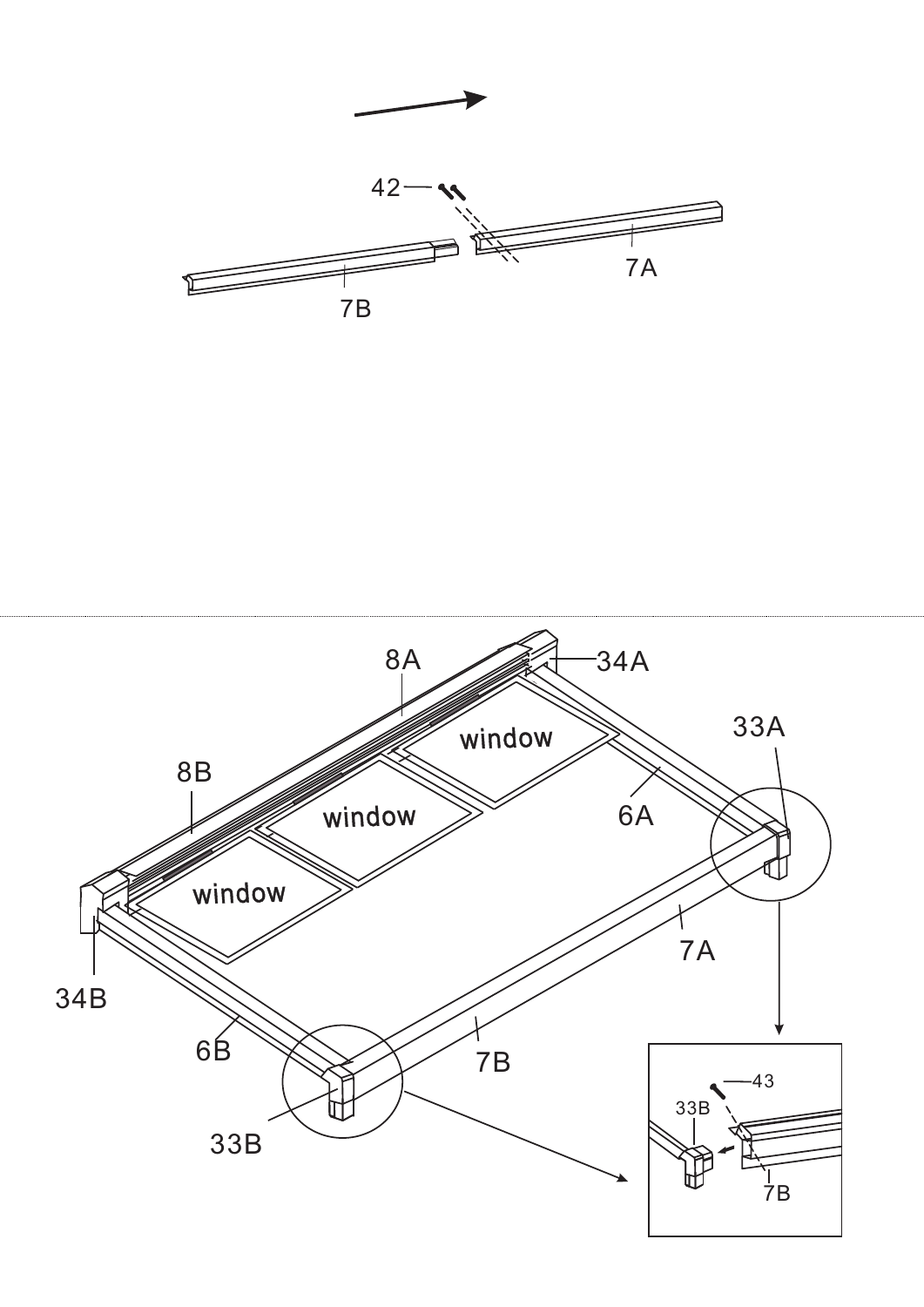

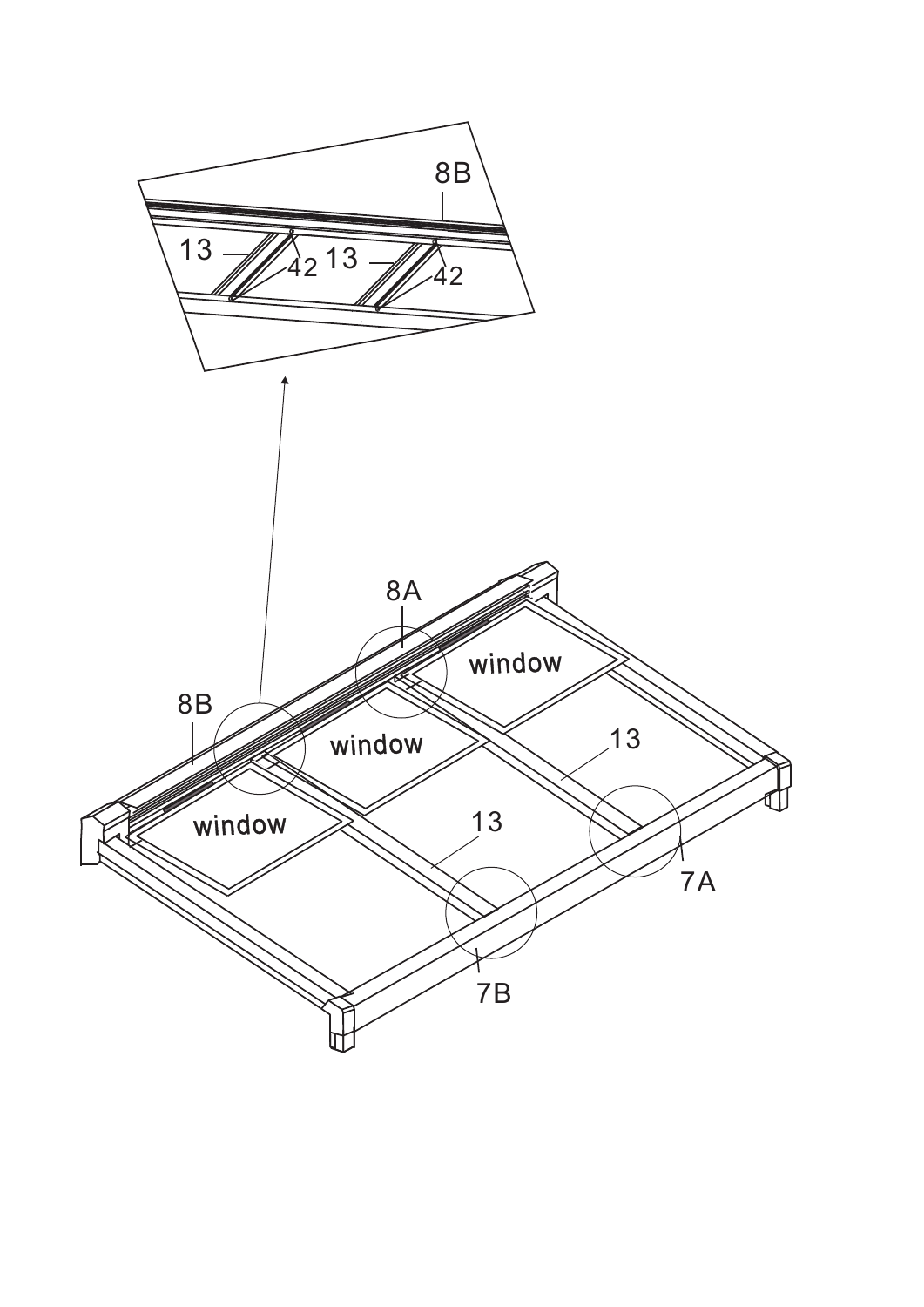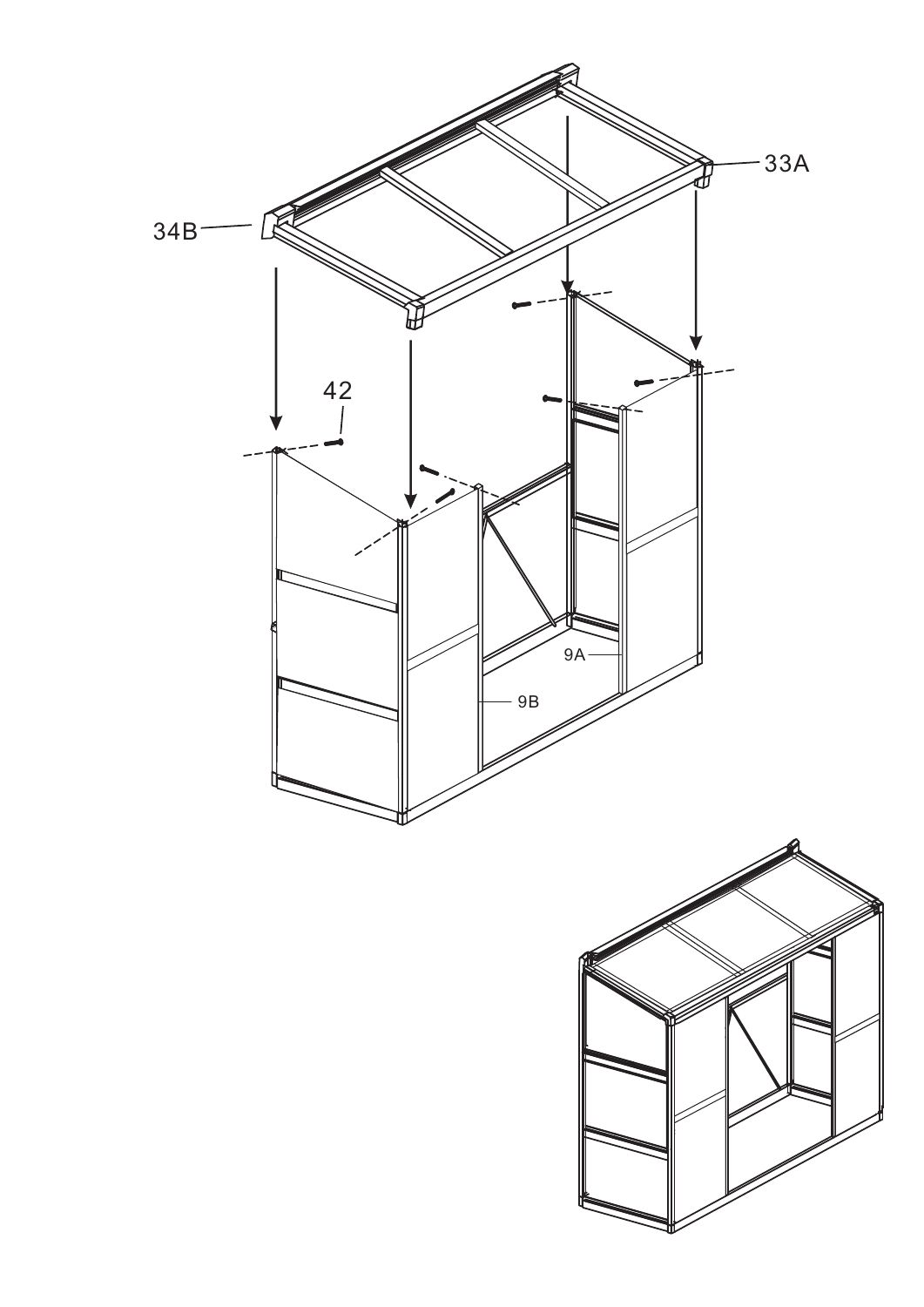